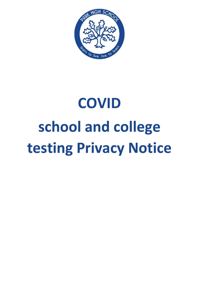

# **COVID school and college testing Privacy Notice**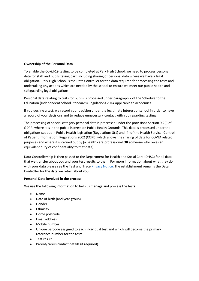# **Ownership of the Personal Data**

To enable the Covid-19 testing to be completed at Park High School, we need to process personal data for staff and pupils taking part, including sharing of personal data where we have a legal obligation. Park High School is the Data Controller for the data required for processing the tests and undertaking any actions which are needed by the school to ensure we meet our public health and safeguarding legal obligations.

Personal data relating to tests for pupils is processed under paragraph 7 of the Schedule to the Education (Independent School Standards) Regulations 2014 applicable to academies.

If you decline a test, we record your decision under the legitimate interest of school in order to have a record of your decisions and to reduce unnecessary contact with you regarding testing.

The processing of special category personal data is processed under the provisions Section 9.2(i) of GDPR, where it is in the public interest on Public Health Grounds. This data is processed under the obligations set out in Public Health legislation (Regulations 3(1) and (4) of the Health Service (Control of Patient Information) Regulations 2002 (COPI)) which allows the sharing of data for COVID related purposes and where it is carried out by [a health care professional **OR** someone who owes an equivalent duty of confidentiality to that data]

Data Controllership is then passed to the Department for Health and Social Care (DHSC) for all data that we transfer about you and your test results to them. For more information about what they do with your data please see the Test and Trace [Privacy Notice.](https://contact-tracing.phe.gov.uk/help/privacy-notice) The establishment remains the Data Controller for the data we retain about you.

## **Personal Data involved in the process**

We use the following information to help us manage and process the tests:

- Name
- Date of birth (and year group)
- Gender
- Ethnicity
- Home postcode
- Email address
- Mobile number
- Unique barcode assigned to each individual test and which will become the primary reference number for the tests
- Test result
- Parent/carers contact details (if required)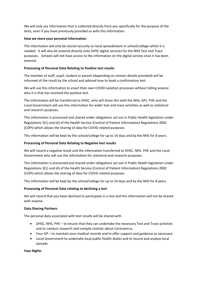We will only use information that is collected directly from you specifically for the purpose of the tests, even if you have previously provided us with this information.

# **How we store your personal information**

The information will only be stored securely on local spreadsheets in school/college whilst it is needed. It will also be entered directly onto DHSC digital services for the NHS Test and Trace purposes. Schools will not have access to the information on the digital service once it has been entered.

# **Processing of Personal Data Relating to Positive test results**

The member of staff, pupil, student or parent (depending on contact details provided) will be informed of the result by the school and advised how to book a confirmatory test.

We will use this information to enact their own COVID isolation processes without telling anyone who it is that has received the positive test.

The information will be transferred to DHSC, who will share this with the NHS, GPs. PHE and the Local Government will use this information for wider test and trace activities as well as statistical and research purposes.

This information is processed and shared under obligations set out in Public Health legislation under Regulations 3(1) and (4) of the Health Service (Control of Patient Information) Regulations 2002 (COPI) which allows the sharing of data for COVID related purposes.

This information will be kept by the school/college for up to 14 days and by the NHS for 8 years.

# **Processing of Personal Data Relating to Negative test results**

We will record a negative result and the information transferred to DHSC, NHS. PHE and the Local Government who will use the information for statistical and research purposes.

This information is processed and shared under obligations set out in Public Health legislation under Regulations 3(1) and (4) of the Health Service (Control of Patient Information) Regulations 2002 (COPI) which allows the sharing of data for COVID related purposes.

This information will be kept by the school/college for up to 14 days and by the NHS for 8 years.

## **Processing of Personal Data relating to declining a test**

We will record that you have declined to participate in a test and this information will not be shared with anyone.

## **Data Sharing Partners**

The personal data associated with test results will be shared with

- DHSC, NHS, PHE to ensure that they can undertake the necessary Test and Trace activities and to conduct research and compile statistic about Coronavirus.
- Your GP to maintain your medical records and to offer support and guidance as necessary
- Local Government to undertake local public health duties and to record and analyse local spreads.

## **Your Rights**